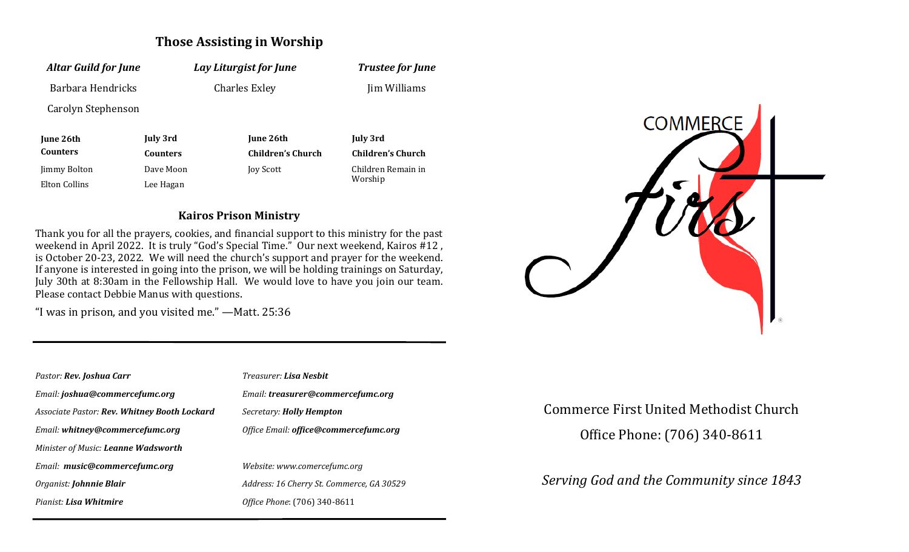# **Those Assisting in Worship**

| <b>Altar Guild for June</b> |                 | Lay Liturgist for June |                               | <b>Trustee for June</b>  |
|-----------------------------|-----------------|------------------------|-------------------------------|--------------------------|
| Barbara Hendricks           |                 |                        | <b>Charles Exley</b>          | Jim Williams             |
| Carolyn Stephenson          |                 |                        |                               |                          |
| June 26th                   | July 3rd        |                        | June 26th                     | <b>July 3rd</b>          |
| <b>Counters</b>             | <b>Counters</b> |                        | <b>Children's Church</b>      | <b>Children's Church</b> |
| Jimmy Bolton                | Dave Moon       | Joy Scott              | Children Remain in<br>Worship |                          |
| Elton Collins               | Lee Hagan       |                        |                               |                          |

#### **Kairos Prison Ministry**

Thank you for all the prayers, cookies, and financial support to this ministry for the past weekend in April 2022. It is truly "God's Special Time." Our next weekend, Kairos #12, is October 20-23, 2022. We will need the church's support and prayer for the weekend. If anyone is interested in going into the prison, we will be holding trainings on Saturday, July 30th at 8:30am in the Fellowship Hall. We would love to have you join our team. Please contact Debbie Manus with questions.

"I was in prison, and you visited me." —Matt. 25:36

| Pastor: Rev. Joshua Carr                            | <b>Treasurer: Lisa Neshit</b>                |
|-----------------------------------------------------|----------------------------------------------|
| Email: joshua@commercefumc.org                      | Email: treasurer@commercefumc.org            |
| <b>Associate Pastor: Rev. Whitney Booth Lockard</b> | Secretary: <b>Holly Hempton</b>              |
| Email: whitney@commercefumc.org                     | Office Email: <b>office@commercefumc.org</b> |
| Minister of Music: <b>Leanne Wadsworth</b>          |                                              |
| Email: music@commercefumc.org                       | Website: www.comercefumc.org                 |
| Organist: <b>Johnnie Blair</b>                      | Address: 16 Cherry St. Commerce, GA 30529    |
| Pianist: Lisa Whitmire                              | Office Phone: (706) 340-8611                 |
|                                                     |                                              |



## Commerce First United Methodist Church

Office Phone: (706) 340-8611

*Serving God and the Community since 1843*